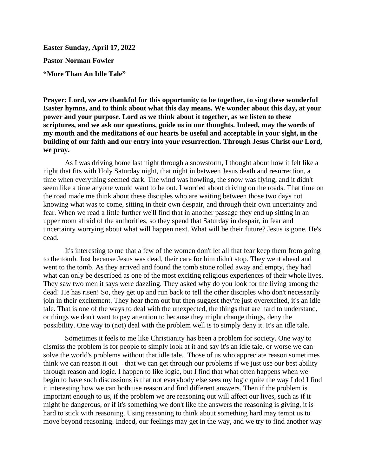**Easter Sunday, April 17, 2022 Pastor Norman Fowler "More Than An Idle Tale"**

**Prayer: Lord, we are thankful for this opportunity to be together, to sing these wonderful Easter hymns, and to think about what this day means. We wonder about this day, at your power and your purpose. Lord as we think about it together, as we listen to these scriptures, and we ask our questions, guide us in our thoughts. Indeed, may the words of my mouth and the meditations of our hearts be useful and acceptable in your sight, in the building of our faith and our entry into your resurrection. Through Jesus Christ our Lord, we pray.**

As I was driving home last night through a snowstorm, I thought about how it felt like a night that fits with Holy Saturday night, that night in between Jesus death and resurrection, a time when everything seemed dark. The wind was howling, the snow was flying, and it didn't seem like a time anyone would want to be out. I worried about driving on the roads. That time on the road made me think about these disciples who are waiting between those two days not knowing what was to come, sitting in their own despair, and through their own uncertainty and fear. When we read a little further we'll find that in another passage they end up sitting in an upper room afraid of the authorities, so they spend that Saturday in despair, in fear and uncertainty worrying about what will happen next. What will be their future? Jesus is gone. He's dead.

It's interesting to me that a few of the women don't let all that fear keep them from going to the tomb. Just because Jesus was dead, their care for him didn't stop. They went ahead and went to the tomb. As they arrived and found the tomb stone rolled away and empty, they had what can only be described as one of the most exciting religious experiences of their whole lives. They saw two men it says were dazzling. They asked why do you look for the living among the dead! He has risen! So, they get up and run back to tell the other disciples who don't necessarily join in their excitement. They hear them out but then suggest they're just overexcited, it's an idle tale. That is one of the ways to deal with the unexpected, the things that are hard to understand, or things we don't want to pay attention to because they might change things, deny the possibility. One way to (not) deal with the problem well is to simply deny it. It's an idle tale.

Sometimes it feels to me like Christianity has been a problem for society. One way to dismiss the problem is for people to simply look at it and say it's an idle tale, or worse we can solve the world's problems without that idle tale. Those of us who appreciate reason sometimes think we can reason it out – that we can get through our problems if we just use our best ability through reason and logic. I happen to like logic, but I find that what often happens when we begin to have such discussions is that not everybody else sees my logic quite the way I do! I find it interesting how we can both use reason and find different answers. Then if the problem is important enough to us, if the problem we are reasoning out will affect our lives, such as if it might be dangerous, or if it's something we don't like the answers the reasoning is giving, it is hard to stick with reasoning. Using reasoning to think about something hard may tempt us to move beyond reasoning. Indeed, our feelings may get in the way, and we try to find another way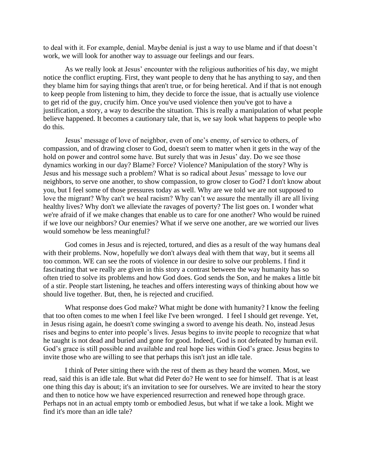to deal with it. For example, denial. Maybe denial is just a way to use blame and if that doesn't work, we will look for another way to assuage our feelings and our fears.

As we really look at Jesus' encounter with the religious authorities of his day, we might notice the conflict erupting. First, they want people to deny that he has anything to say, and then they blame him for saying things that aren't true, or for being heretical. And if that is not enough to keep people from listening to him, they decide to force the issue, that is actually use violence to get rid of the guy, crucify him. Once you've used violence then you've got to have a justification, a story, a way to describe the situation. This is really a manipulation of what people believe happened. It becomes a cautionary tale, that is, we say look what happens to people who do this.

Jesus' message of love of neighbor, even of one's enemy, of service to others, of compassion, and of drawing closer to God, doesn't seem to matter when it gets in the way of the hold on power and control some have. But surely that was in Jesus' day. Do we see those dynamics working in our day? Blame? Force? Violence? Manipulation of the story? Why is Jesus and his message such a problem? What is so radical about Jesus' message to love our neighbors, to serve one another, to show compassion, to grow closer to God? I don't know about you, but I feel some of those pressures today as well. Why are we told we are not supposed to love the migrant? Why can't we heal racism? Why can't we assure the mentally ill are all living healthy lives? Why don't we alleviate the ravages of poverty? The list goes on. I wonder what we're afraid of if we make changes that enable us to care for one another? Who would be ruined if we love our neighbors? Our enemies? What if we serve one another, are we worried our lives would somehow be less meaningful?

God comes in Jesus and is rejected, tortured, and dies as a result of the way humans deal with their problems. Now, hopefully we don't always deal with them that way, but it seems all too common. WE can see the roots of violence in our desire to solve our problems. I find it fascinating that we really are given in this story a contrast between the way humanity has so often tried to solve its problems and how God does. God sends the Son, and he makes a little bit of a stir. People start listening, he teaches and offers interesting ways of thinking about how we should live together. But, then, he is rejected and crucified.

What response does God make? What might be done with humanity? I know the feeling that too often comes to me when I feel like I've been wronged. I feel I should get revenge. Yet, in Jesus rising again, he doesn't come swinging a sword to avenge his death. No, instead Jesus rises and begins to enter into people's lives. Jesus begins to invite people to recognize that what he taught is not dead and buried and gone for good. Indeed, God is not defeated by human evil. God's grace is still possible and available and real hope lies within God's grace. Jesus begins to invite those who are willing to see that perhaps this isn't just an idle tale.

I think of Peter sitting there with the rest of them as they heard the women. Most, we read, said this is an idle tale. But what did Peter do? He went to see for himself. That is at least one thing this day is about; it's an invitation to see for ourselves. We are invited to hear the story and then to notice how we have experienced resurrection and renewed hope through grace. Perhaps not in an actual empty tomb or embodied Jesus, but what if we take a look. Might we find it's more than an idle tale?